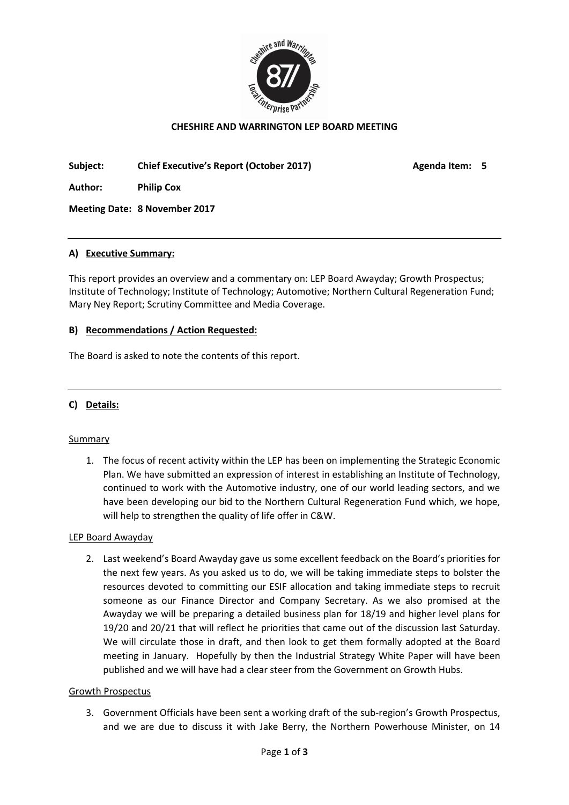

# CHESHIRE AND WARRINGTON LEP BOARD MEETING

Subject: Chief Executive's Report (October 2017) Agenda Item: 5

Author: Philip Cox

Meeting Date: 8 November 2017

#### A) Executive Summary:

This report provides an overview and a commentary on: LEP Board Awayday; Growth Prospectus; Institute of Technology; Institute of Technology; Automotive; Northern Cultural Regeneration Fund; Mary Ney Report; Scrutiny Committee and Media Coverage.

#### B) Recommendations / Action Requested:

The Board is asked to note the contents of this report.

#### C) Details:

#### Summary

1. The focus of recent activity within the LEP has been on implementing the Strategic Economic Plan. We have submitted an expression of interest in establishing an Institute of Technology, continued to work with the Automotive industry, one of our world leading sectors, and we have been developing our bid to the Northern Cultural Regeneration Fund which, we hope, will help to strengthen the quality of life offer in C&W.

#### LEP Board Awayday

2. Last weekend's Board Awayday gave us some excellent feedback on the Board's priorities for the next few years. As you asked us to do, we will be taking immediate steps to bolster the resources devoted to committing our ESIF allocation and taking immediate steps to recruit someone as our Finance Director and Company Secretary. As we also promised at the Awayday we will be preparing a detailed business plan for 18/19 and higher level plans for 19/20 and 20/21 that will reflect he priorities that came out of the discussion last Saturday. We will circulate those in draft, and then look to get them formally adopted at the Board meeting in January. Hopefully by then the Industrial Strategy White Paper will have been published and we will have had a clear steer from the Government on Growth Hubs.

#### Growth Prospectus

3. Government Officials have been sent a working draft of the sub-region's Growth Prospectus, and we are due to discuss it with Jake Berry, the Northern Powerhouse Minister, on 14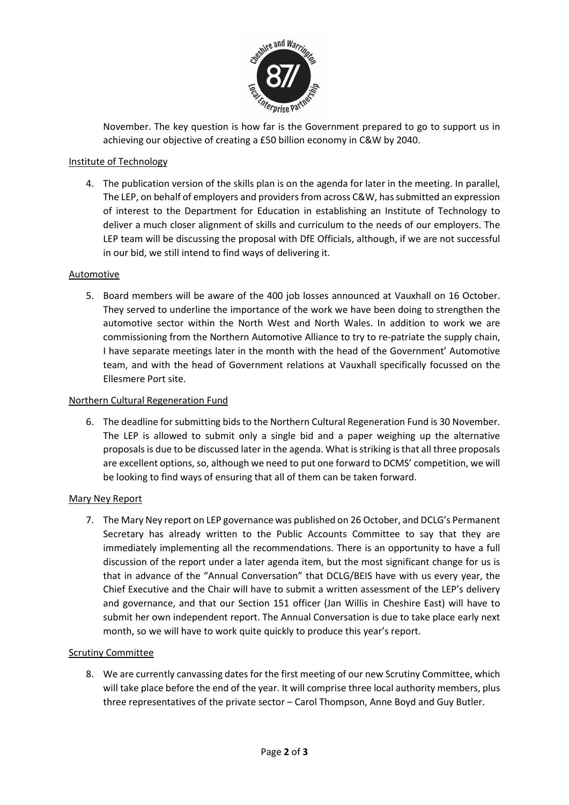

November. The key question is how far is the Government prepared to go to support us in achieving our objective of creating a £50 billion economy in C&W by 2040.

## Institute of Technology

4. The publication version of the skills plan is on the agenda for later in the meeting. In parallel, The LEP, on behalf of employers and providers from across C&W, has submitted an expression of interest to the Department for Education in establishing an Institute of Technology to deliver a much closer alignment of skills and curriculum to the needs of our employers. The LEP team will be discussing the proposal with DfE Officials, although, if we are not successful in our bid, we still intend to find ways of delivering it.

## Automotive

5. Board members will be aware of the 400 job losses announced at Vauxhall on 16 October. They served to underline the importance of the work we have been doing to strengthen the automotive sector within the North West and North Wales. In addition to work we are commissioning from the Northern Automotive Alliance to try to re-patriate the supply chain, I have separate meetings later in the month with the head of the Government' Automotive team, and with the head of Government relations at Vauxhall specifically focussed on the Ellesmere Port site.

## Northern Cultural Regeneration Fund

6. The deadline for submitting bids to the Northern Cultural Regeneration Fund is 30 November. The LEP is allowed to submit only a single bid and a paper weighing up the alternative proposals is due to be discussed later in the agenda. What is striking is that all three proposals are excellent options, so, although we need to put one forward to DCMS' competition, we will be looking to find ways of ensuring that all of them can be taken forward.

## Mary Ney Report

7. The Mary Ney report on LEP governance was published on 26 October, and DCLG's Permanent Secretary has already written to the Public Accounts Committee to say that they are immediately implementing all the recommendations. There is an opportunity to have a full discussion of the report under a later agenda item, but the most significant change for us is that in advance of the "Annual Conversation" that DCLG/BEIS have with us every year, the Chief Executive and the Chair will have to submit a written assessment of the LEP's delivery and governance, and that our Section 151 officer (Jan Willis in Cheshire East) will have to submit her own independent report. The Annual Conversation is due to take place early next month, so we will have to work quite quickly to produce this year's report.

## Scrutiny Committee

8. We are currently canvassing dates for the first meeting of our new Scrutiny Committee, which will take place before the end of the year. It will comprise three local authority members, plus three representatives of the private sector – Carol Thompson, Anne Boyd and Guy Butler.